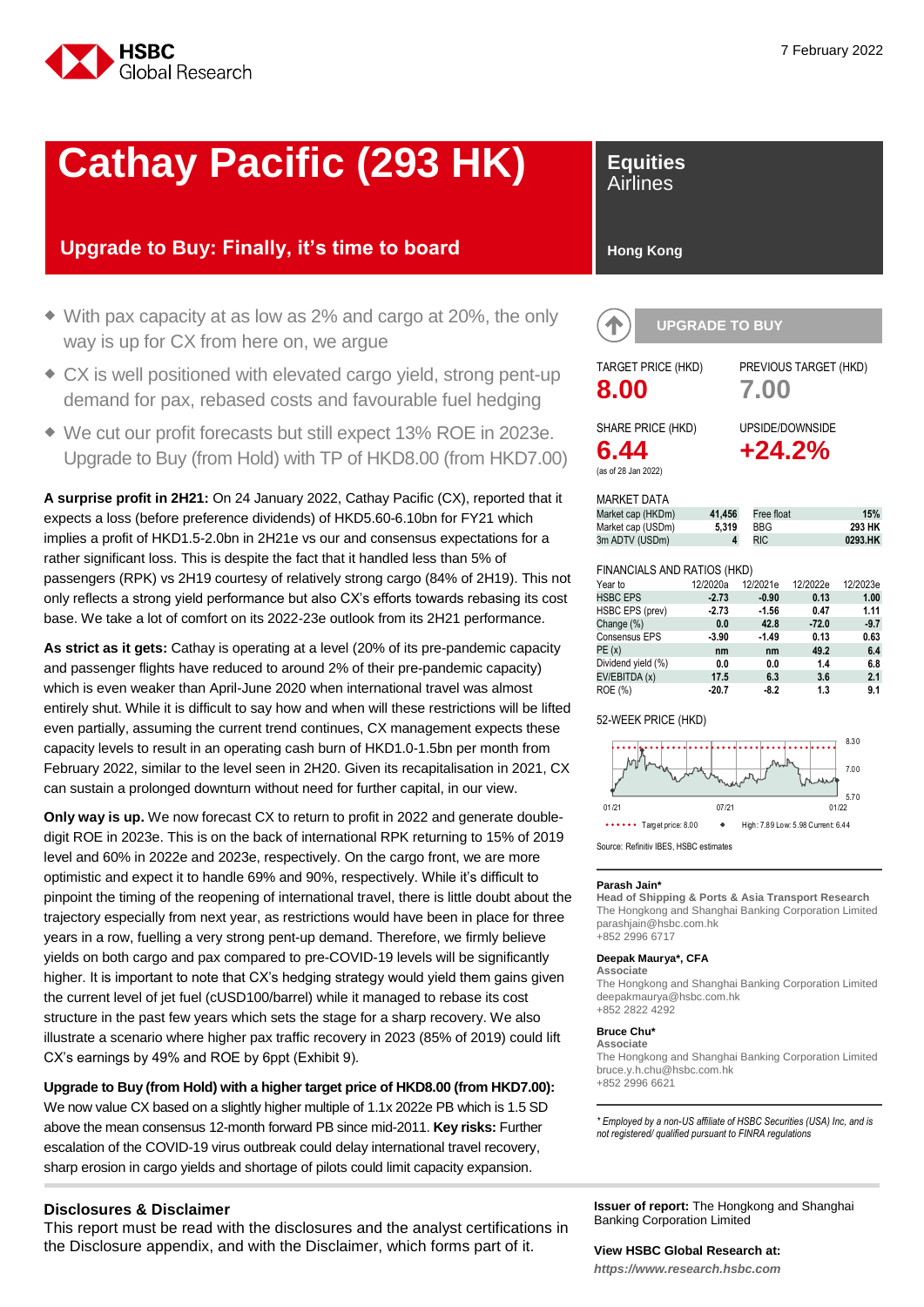

## **Cathay Pacific (293 HK)**

## **Upgrade to Buy: Finally, it's time to board**

- With pax capacity at as low as 2% and cargo at 20%, the only way is up for CX from here on, we argue
- CX is well positioned with elevated cargo yield, strong pent-up demand for pax, rebased costs and favourable fuel hedging
- We cut our profit forecasts but still expect 13% ROE in 2023e. Upgrade to Buy (from Hold) with TP of HKD8.00 (from HKD7.00)

**A surprise profit in 2H21:** On 24 January 2022, Cathay Pacific (CX), reported that it expects a loss (before preference dividends) of HKD5.60-6.10bn for FY21 which implies a profit of HKD1.5-2.0bn in 2H21e vs our and consensus expectations for a rather significant loss. This is despite the fact that it handled less than 5% of passengers (RPK) vs 2H19 courtesy of relatively strong cargo (84% of 2H19). This not only reflects a strong yield performance but also CX's efforts towards rebasing its cost base. We take a lot of comfort on its 2022-23e outlook from its 2H21 performance.

**As strict as it gets:** Cathay is operating at a level (20% of its pre-pandemic capacity and passenger flights have reduced to around 2% of their pre-pandemic capacity) which is even weaker than April-June 2020 when international travel was almost entirely shut. While it is difficult to say how and when will these restrictions will be lifted even partially, assuming the current trend continues, CX management expects these capacity levels to result in an operating cash burn of HKD1.0-1.5bn per month from February 2022, similar to the level seen in 2H20. Given its recapitalisation in 2021, CX can sustain a prolonged downturn without need for further capital, in our view.

**Only way is up.** We now forecast CX to return to profit in 2022 and generate doubledigit ROE in 2023e. This is on the back of international RPK returning to 15% of 2019 level and 60% in 2022e and 2023e, respectively. On the cargo front, we are more optimistic and expect it to handle 69% and 90%, respectively. While it's difficult to pinpoint the timing of the reopening of international travel, there is little doubt about the trajectory especially from next year, as restrictions would have been in place for three years in a row, fuelling a very strong pent-up demand. Therefore, we firmly believe yields on both cargo and pax compared to pre-COVID-19 levels will be significantly higher. It is important to note that CX's hedging strategy would yield them gains given the current level of jet fuel (cUSD100/barrel) while it managed to rebase its cost structure in the past few years which sets the stage for a sharp recovery. We also illustrate a scenario where higher pax traffic recovery in 2023 (85% of 2019) could lift CX's earnings by 49% and ROE by 6ppt (Exhibit 9).

#### **Upgrade to Buy (from Hold) with a higher target price of HKD8.00 (from HKD7.00):** We now value CX based on a slightly higher multiple of 1.1x 2022e PB which is 1.5 SD above the mean consensus 12-month forward PB since mid-2011. **Key risks:** Further escalation of the COVID-19 virus outbreak could delay international travel recovery, sharp erosion in cargo yields and shortage of pilots could limit capacity expansion.

#### **Disclosures & Disclaimer**

This report must be read with the disclosures and the analyst certifications in the Disclosure appendix, and with the Disclaimer, which forms part of it.

## **Equities**

Airlines

#### **Hong Kong**

| <b>UPGRADE TO BUY</b>                                                  |                      |                                 |                          |
|------------------------------------------------------------------------|----------------------|---------------------------------|--------------------------|
| <b>TARGET PRICE (HKD)</b><br>8.00                                      |                      | PREVIOUS TARGET (HKD)<br>7.00   |                          |
| SHARE PRICE (HKD)<br>6.44<br>(as of 28 Jan 2022)<br><b>MARKET DATA</b> |                      | UPSIDE/DOWNSIDE<br>$+24.2%$     |                          |
| Market cap (HKDm)<br>Market cap (USDm)<br>3m ADTV (USDm)               | 41,456<br>5,319<br>4 | Free float<br>BBG<br><b>RIC</b> | 15%<br>293 HK<br>0293.HK |
| FINANCIAI S AND PATIOS (HKD)                                           |                      |                                 |                          |

#### FINANCIALS AND RATIOS (HKD)

| Year to            | 12/2020a | 12/2021e | 12/2022e | 12/2023e |
|--------------------|----------|----------|----------|----------|
| <b>HSBC EPS</b>    | $-2.73$  | $-0.90$  | 0.13     | 1.00     |
| HSBC EPS (prev)    | $-2.73$  | $-1.56$  | 0.47     | 1.11     |
| Change (%)         | 0.0      | 42.8     | $-72.0$  | $-9.7$   |
| Consensus EPS      | $-3.90$  | $-1.49$  | 0.13     | 0.63     |
| PE(x)              | nm       | nm       | 49.2     | 6.4      |
| Dividend yield (%) | 0.0      | 0.0      | 1.4      | 6.8      |
| EV/EBITDA (x)      | 17.5     | 6.3      | 3.6      | 2.1      |
| ROE (%)            | $-20.7$  | $-8.2$   | 1.3      | 9.1      |

#### 52-WEEK PRICE (HKD)



Source: Refinitiv IBES, HSBC estimates

#### **Parash Jain\***

**Head of Shipping & Ports & Asia Transport Research** The Hongkong and Shanghai Banking Corporation Limited parashjain@hsbc.com.hk +852 2996 6717

#### **Deepak Maurya\*, CFA**

**Associate** The Hongkong and Shanghai Banking Corporation Limited deepakmaurya@hsbc.com.hk +852 2822 4292

#### **Bruce Chu\***

**Associate** The Hongkong and Shanghai Banking Corporation Limited bruce.y.h.chu@hsbc.com.hk +852 2996 6621

*\* Employed by a non-US affiliate of HSBC Securities (USA) Inc, and is not registered/ qualified pursuant to FINRA regulations*

**Issuer of report:** The Hongkong and Shanghai Banking Corporation Limited

#### **View HSBC Global Research at:**

*https://www.research.hsbc.com*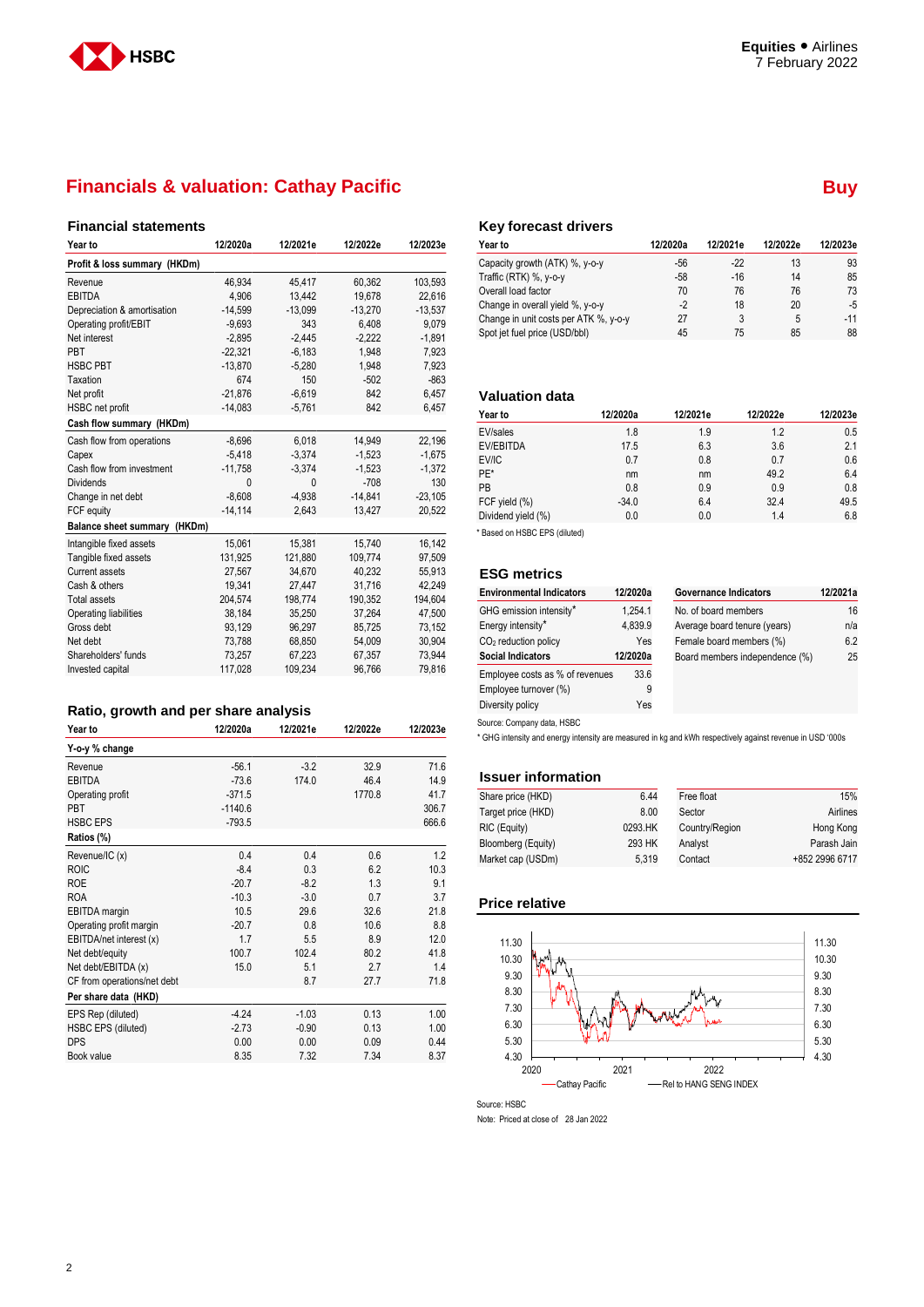

### **Financials & valuation: Cathay Pacific <b>Buy Buy Buy Buy Buy Buy Buy Buy Buy Buy Buy Buy Buy Buy Buy Buy Buy Buy Buy Buy Buy Buy Buy Buy Buy Buy Buy Buy Buy Buy B**

#### **Financial statements**

| Year to                      | 12/2020a  | 12/2021e  | 12/2022e  | 12/2023e  |
|------------------------------|-----------|-----------|-----------|-----------|
| Profit & loss summary (HKDm) |           |           |           |           |
| Revenue                      | 46,934    | 45,417    | 60,362    | 103,593   |
| <b>EBITDA</b>                | 4,906     | 13,442    | 19,678    | 22,616    |
| Depreciation & amortisation  | $-14,599$ | $-13,099$ | $-13,270$ | $-13,537$ |
| Operating profit/EBIT        | $-9,693$  | 343       | 6,408     | 9,079     |
| Net interest                 | $-2,895$  | $-2,445$  | $-2,222$  | $-1,891$  |
| PBT                          | $-22.321$ | $-6,183$  | 1.948     | 7,923     |
| <b>HSBC PBT</b>              | $-13,870$ | $-5,280$  | 1,948     | 7,923     |
| Taxation                     | 674       | 150       | $-502$    | $-863$    |
| Net profit                   | $-21.876$ | $-6,619$  | 842       | 6,457     |
| HSBC net profit              | $-14,083$ | $-5,761$  | 842       | 6,457     |
| Cash flow summary (HKDm)     |           |           |           |           |
| Cash flow from operations    | $-8,696$  | 6,018     | 14,949    | 22,196    |
| Capex                        | $-5,418$  | $-3,374$  | $-1,523$  | $-1,675$  |
| Cash flow from investment    | $-11,758$ | $-3.374$  | $-1,523$  | $-1,372$  |
| <b>Dividends</b>             | $\Omega$  | 0         | $-708$    | 130       |
| Change in net debt           | $-8.608$  | $-4.938$  | $-14,841$ | $-23,105$ |
| FCF equity                   | $-14,114$ | 2,643     | 13,427    | 20,522    |
| Balance sheet summary (HKDm) |           |           |           |           |
| Intangible fixed assets      | 15,061    | 15,381    | 15,740    | 16,142    |
| Tangible fixed assets        | 131,925   | 121,880   | 109,774   | 97,509    |
| <b>Current assets</b>        | 27.567    | 34.670    | 40.232    | 55,913    |
| Cash & others                | 19,341    | 27,447    | 31,716    | 42,249    |
| <b>Total assets</b>          | 204,574   | 198,774   | 190,352   | 194,604   |
| Operating liabilities        | 38.184    | 35.250    | 37.264    | 47,500    |
| Gross debt                   | 93,129    | 96,297    | 85,725    | 73,152    |
| Net debt                     | 73,788    | 68,850    | 54,009    | 30,904    |
| Shareholders' funds          | 73,257    | 67,223    | 67,357    | 73,944    |
| Invested capital             | 117,028   | 109,234   | 96,766    | 79,816    |
|                              |           |           |           |           |

## **Ratio, growth and per share analysis**

| Year to                     | 12/2020a  | 12/2021e | 12/2022e | 12/2023e |
|-----------------------------|-----------|----------|----------|----------|
| Y-o-y % change              |           |          |          |          |
| Revenue                     | $-56.1$   | $-3.2$   | 32.9     | 71.6     |
| <b>EBITDA</b>               | $-73.6$   | 174.0    | 46.4     | 14.9     |
| Operating profit            | $-371.5$  |          | 1770.8   | 41.7     |
| <b>PBT</b>                  | $-1140.6$ |          |          | 306.7    |
| <b>HSBC EPS</b>             | $-793.5$  |          |          | 666.6    |
| Ratios (%)                  |           |          |          |          |
| Revenue/IC (x)              | 0.4       | 0.4      | 0.6      | 1.2      |
| <b>ROIC</b>                 | $-8.4$    | 0.3      | 6.2      | 10.3     |
| <b>ROE</b>                  | $-20.7$   | $-8.2$   | 1.3      | 9.1      |
| <b>ROA</b>                  | $-10.3$   | $-3.0$   | 0.7      | 3.7      |
| EBITDA margin               | 10.5      | 29.6     | 32.6     | 21.8     |
| Operating profit margin     | $-20.7$   | 0.8      | 10.6     | 8.8      |
| EBITDA/net interest (x)     | 1.7       | 5.5      | 8.9      | 12.0     |
| Net debt/equity             | 100.7     | 102.4    | 80.2     | 41.8     |
| Net debt/EBITDA (x)         | 15.0      | 5.1      | 2.7      | 1.4      |
| CF from operations/net debt |           | 8.7      | 27.7     | 71.8     |
| Per share data (HKD)        |           |          |          |          |
| EPS Rep (diluted)           | $-4.24$   | $-1.03$  | 0.13     | 1.00     |
| <b>HSBC EPS (diluted)</b>   | $-2.73$   | $-0.90$  | 0.13     | 1.00     |
| <b>DPS</b>                  | 0.00      | 0.00     | 0.09     | 0.44     |
| Book value                  | 8.35      | 7.32     | 7.34     | 8.37     |

#### **Key forecast drivers**

| <b>Year to</b>                        | 12/2020a | 12/2021e | 12/2022e | 12/2023e |
|---------------------------------------|----------|----------|----------|----------|
| Capacity growth (ATK) %, y-o-y        | -56      | $-22$    | 13       | 93       |
| Traffic (RTK) %, y-o-y                | $-58$    | $-16$    | 14       | 85       |
| Overall load factor                   | 70       | 76       | 76       | 73       |
| Change in overall yield %, y-o-y      | -2       | 18       | 20       | -5       |
| Change in unit costs per ATK %, y-o-y | 27       | 3        | 5        | $-11$    |
| Spot jet fuel price (USD/bbl)         | 45       | 75       | 85       | 88       |

#### **Valuation data**

| Year to            | 12/2020a | 12/2021e | 12/2022e | 12/2023e |
|--------------------|----------|----------|----------|----------|
| EV/sales           | 1.8      | 1.9      | 1.2      | 0.5      |
| EV/EBITDA          | 17.5     | 6.3      | 3.6      | 2.1      |
| EV/IC              | 0.7      | 0.8      | 0.7      | 0.6      |
| PE*                | nm       | nm       | 49.2     | 6.4      |
| PB                 | 0.8      | 0.9      | 0.9      | 0.8      |
| FCF yield (%)      | $-34.0$  | 6.4      | 32.4     | 49.5     |
| Dividend yield (%) | 0.0      | 0.0      | 1.4      | 6.8      |

\* Based on HSBC EPS (diluted)

#### **ESG metrics**

| <b>Environmental Indicators</b> | 12/2020a | <b>Governance Indicators</b>   | 12/2021a |
|---------------------------------|----------|--------------------------------|----------|
| GHG emission intensity*         | 1.254.1  | No. of board members           | 16       |
| Energy intensity*               | 4.839.9  | Average board tenure (years)   | n/a      |
| $CO2$ reduction policy          | Yes      | Female board members (%)       | 6.2      |
| <b>Social Indicators</b>        | 12/2020a | Board members independence (%) | 25       |
| Employee costs as % of revenues | 33.6     |                                |          |
| Employee turnover (%)           | 9        |                                |          |
| Diversity policy                | Yes      |                                |          |

Source: Company data, HSBC

\* GHG intensity and energy intensity are measured in kg and kWh respectively against revenue in USD '000s

#### **Issuer information**

| Share price (HKD)  | 6.44    | Free float     | 15%            |
|--------------------|---------|----------------|----------------|
| Target price (HKD) | 8.00    | Sector         | Airlines       |
| RIC (Equity)       | 0293.HK | Country/Region | Hong Kong      |
| Bloomberg (Equity) | 293 HK  | Analyst        | Parash Jain    |
| Market cap (USDm)  | 5.319   | Contact        | +852 2996 6717 |

#### **Price relative**



Source: HSBC

Note: Priced at close of 28 Jan 2022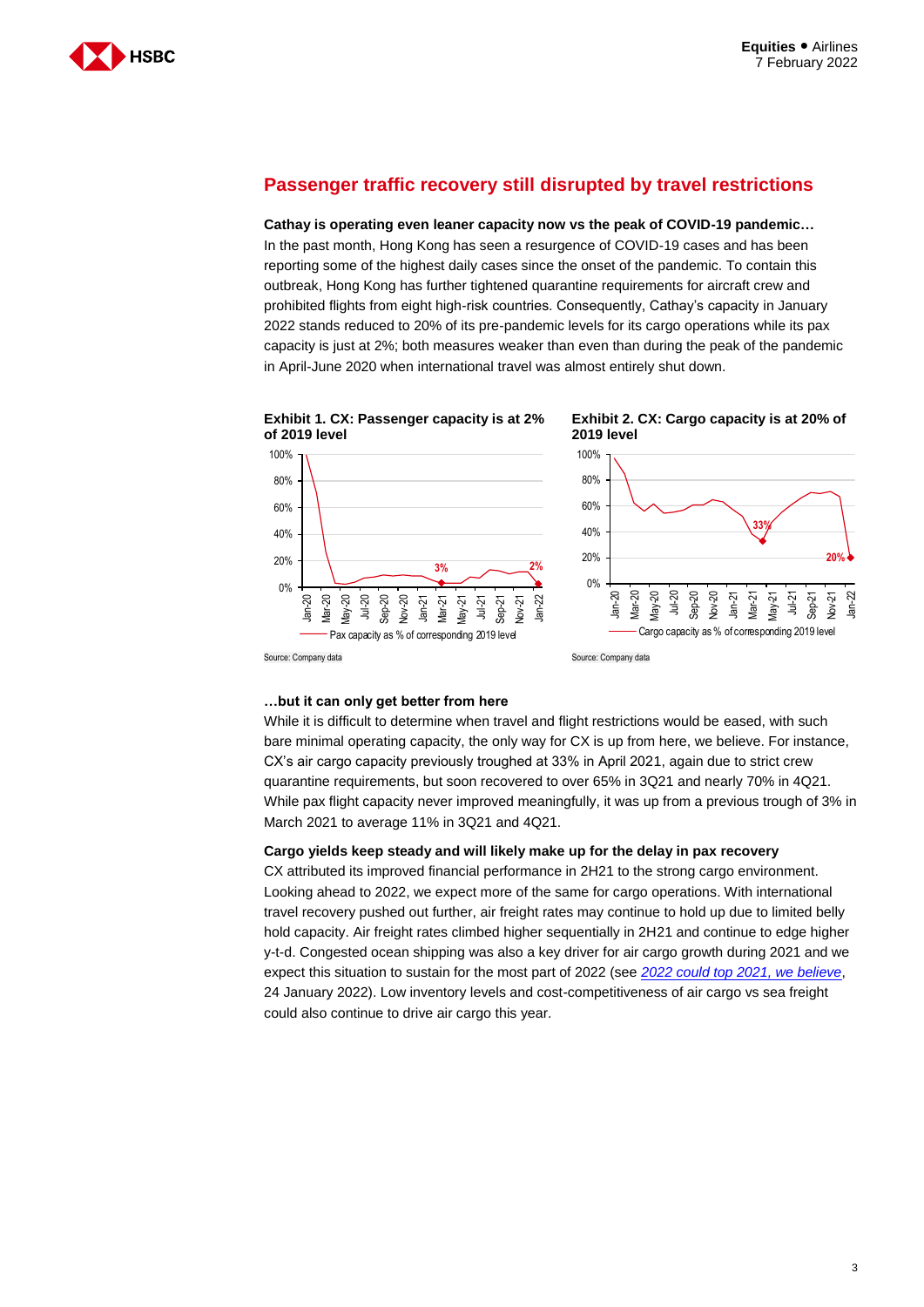

### **Passenger traffic recovery still disrupted by travel restrictions**

**Cathay is operating even leaner capacity now vs the peak of COVID-19 pandemic…** In the past month, Hong Kong has seen a resurgence of COVID-19 cases and has been reporting some of the highest daily cases since the onset of the pandemic. To contain this outbreak, Hong Kong has further tightened quarantine requirements for aircraft crew and prohibited flights from eight high-risk countries. Consequently, Cathay's capacity in January 2022 stands reduced to 20% of its pre-pandemic levels for its cargo operations while its pax capacity is just at 2%; both measures weaker than even than during the peak of the pandemic in April-June 2020 when international travel was almost entirely shut down.







#### **…but it can only get better from here**

While it is difficult to determine when travel and flight restrictions would be eased, with such bare minimal operating capacity, the only way for CX is up from here, we believe. For instance, CX's air cargo capacity previously troughed at 33% in April 2021, again due to strict crew quarantine requirements, but soon recovered to over 65% in 3Q21 and nearly 70% in 4Q21. While pax flight capacity never improved meaningfully, it was up from a previous trough of 3% in March 2021 to average 11% in 3Q21 and 4Q21.

#### **Cargo yields keep steady and will likely make up for the delay in pax recovery**

CX attributed its improved financial performance in 2H21 to the strong cargo environment. Looking ahead to 2022, we expect more of the same for cargo operations. With international travel recovery pushed out further, air freight rates may continue to hold up due to limited belly hold capacity. Air freight rates climbed higher sequentially in 2H21 and continue to edge higher y-t-d. Congested ocean shipping was also a key driver for air cargo growth during 2021 and we expect this situation to sustain for the most part of 2022 (see *2022 could top 2021, we believe*, 24 January 2022). Low inventory levels and cost-competitiveness of air cargo vs sea freight could also continue to drive air cargo this year.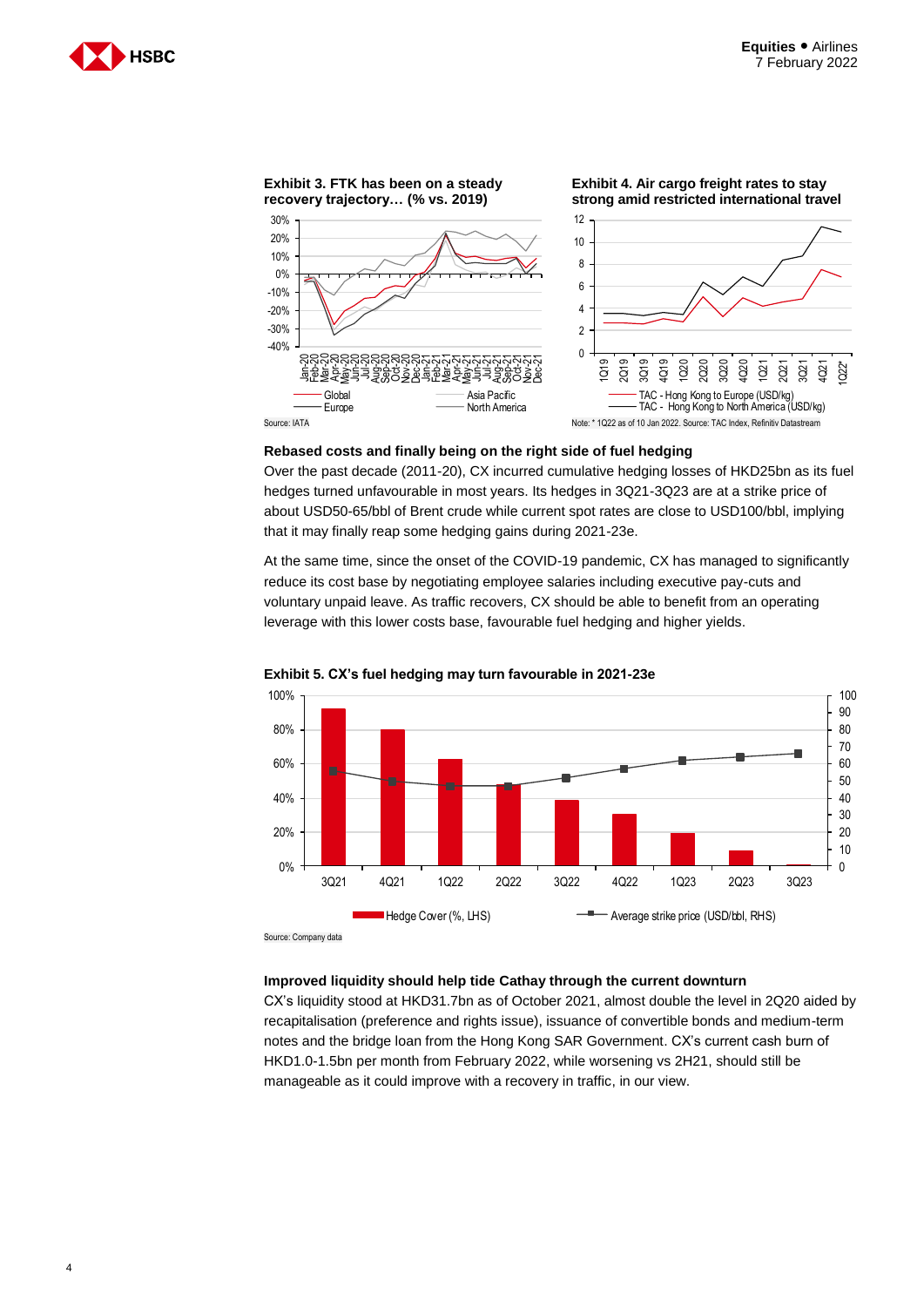



#### **Rebased costs and finally being on the right side of fuel hedging**

Over the past decade (2011-20), CX incurred cumulative hedging losses of HKD25bn as its fuel hedges turned unfavourable in most years. Its hedges in 3Q21-3Q23 are at a strike price of about USD50-65/bbl of Brent crude while current spot rates are close to USD100/bbl, implying that it may finally reap some hedging gains during 2021-23e.

At the same time, since the onset of the COVID-19 pandemic, CX has managed to significantly reduce its cost base by negotiating employee salaries including executive pay-cuts and voluntary unpaid leave. As traffic recovers, CX should be able to benefit from an operating leverage with this lower costs base, favourable fuel hedging and higher yields.



**Exhibit 5. CX's fuel hedging may turn favourable in 2021-23e**

Source: Company data

#### **Improved liquidity should help tide Cathay through the current downturn**

CX's liquidity stood at HKD31.7bn as of October 2021, almost double the level in 2Q20 aided by recapitalisation (preference and rights issue), issuance of convertible bonds and medium-term notes and the bridge loan from the Hong Kong SAR Government. CX's current cash burn of HKD1.0-1.5bn per month from February 2022, while worsening vs 2H21, should still be manageable as it could improve with a recovery in traffic, in our view.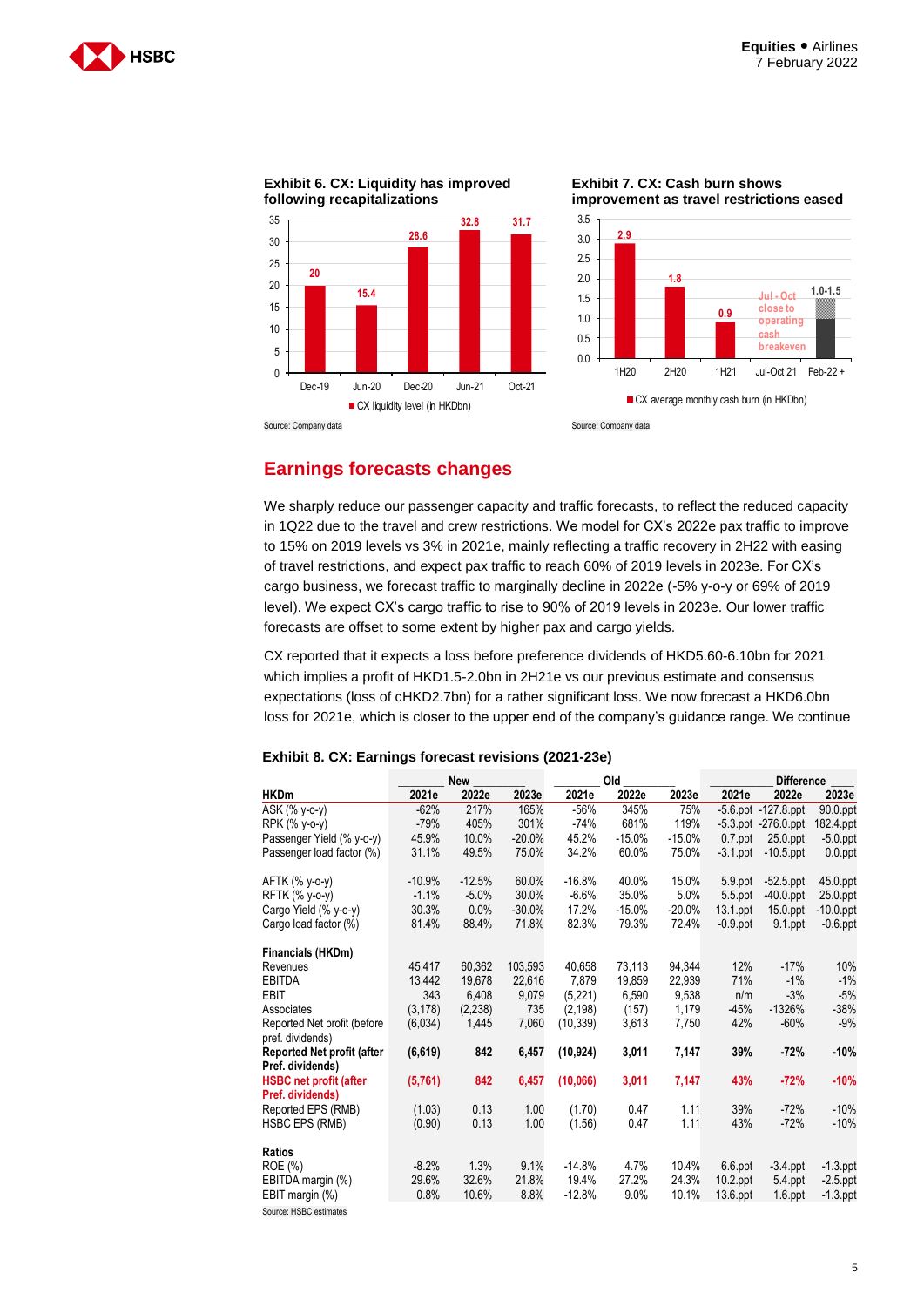



**Exhibit 6. CX: Liquidity has improved** 

**Exhibit 7. CX: Cash burn shows improvement as travel restrictions eased**



### **Earnings forecasts changes**

We sharply reduce our passenger capacity and traffic forecasts, to reflect the reduced capacity in 1Q22 due to the travel and crew restrictions. We model for CX's 2022e pax traffic to improve to 15% on 2019 levels vs 3% in 2021e, mainly reflecting a traffic recovery in 2H22 with easing of travel restrictions, and expect pax traffic to reach 60% of 2019 levels in 2023e. For CX's cargo business, we forecast traffic to marginally decline in 2022e (-5% y-o-y or 69% of 2019 level). We expect CX's cargo traffic to rise to 90% of 2019 levels in 2023e. Our lower traffic forecasts are offset to some extent by higher pax and cargo yields.

CX reported that it expects a loss before preference dividends of HKD5.60-6.10bn for 2021 which implies a profit of HKD1.5-2.0bn in 2H21e vs our previous estimate and consensus expectations (loss of cHKD2.7bn) for a rather significant loss. We now forecast a HKD6.0bn loss for 2021e, which is closer to the upper end of the company's guidance range. We continue

|                                                 |          | New      |          |           | Old      |          | <b>Difference</b> |                           |              |
|-------------------------------------------------|----------|----------|----------|-----------|----------|----------|-------------------|---------------------------|--------------|
| <b>HKDm</b>                                     | 2021e    | 2022e    | 2023e    | 2021e     | 2022e    | 2023e    | 2021e             | 2022e                     | 2023e        |
| ASK (% y-o-y)                                   | $-62%$   | 217%     | 165%     | $-56%$    | 345%     | 75%      |                   | $-5.6$ .ppt $-127.8$ .ppt | 90.0.ppt     |
| RPK (% y-o-y)                                   | $-79%$   | 405%     | 301%     | $-74%$    | 681%     | 119%     | $-5.3$ ppt        | $-276.0$ ppt              | 182.4.ppt    |
| Passenger Yield (% y-o-y)                       | 45.9%    | 10.0%    | $-20.0%$ | 45.2%     | $-15.0%$ | $-15.0%$ | $0.7$ .ppt        | 25.0.ppt                  | $-5.0$ .ppt  |
| Passenger load factor (%)                       | 31.1%    | 49.5%    | 75.0%    | 34.2%     | 60.0%    | 75.0%    | $-3.1$ .ppt       | $-10.5$ .ppt              | $0.0$ .ppt   |
| AFTK (% y-o-y)                                  | $-10.9%$ | $-12.5%$ | 60.0%    | $-16.8%$  | 40.0%    | 15.0%    | 5.9 ppt           | $-52.5$ .ppt              | 45.0.ppt     |
| RFTK (% y-o-y)                                  | $-1.1%$  | $-5.0%$  | 30.0%    | $-6.6%$   | 35.0%    | 5.0%     | 5.5.ppt           | $-40.0$ .ppt              | 25.0.ppt     |
| Cargo Yield (% y-o-y)                           | 30.3%    | 0.0%     | $-30.0%$ | 17.2%     | $-15.0%$ | $-20.0%$ | 13.1 ppt          | 15.0.ppt                  | $-10.0$ .ppt |
| Cargo load factor (%)                           | 81.4%    | 88.4%    | 71.8%    | 82.3%     | 79.3%    | 72.4%    | $-0.9$ .ppt       | 9.1 ppt                   | $-0.6$ .ppt  |
| Financials (HKDm)                               |          |          |          |           |          |          |                   |                           |              |
| Revenues                                        | 45.417   | 60.362   | 103,593  | 40.658    | 73.113   | 94,344   | 12%               | $-17%$                    | 10%          |
| <b>EBITDA</b>                                   | 13.442   | 19,678   | 22,616   | 7,879     | 19,859   | 22,939   | 71%               | $-1%$                     | $-1%$        |
| <b>EBIT</b>                                     | 343      | 6,408    | 9,079    | (5,221)   | 6.590    | 9,538    | n/m               | $-3%$                     | $-5%$        |
| Associates                                      | (3, 178) | (2, 238) | 735      | (2, 198)  | (157)    | 1,179    | $-45%$            | $-1326%$                  | $-38%$       |
| Reported Net profit (before<br>pref. dividends) | (6,034)  | 1,445    | 7,060    | (10, 339) | 3,613    | 7,750    | 42%               | $-60%$                    | $-9%$        |
| Reported Net profit (after                      | (6, 619) | 842      | 6,457    | (10, 924) | 3,011    | 7,147    | 39%               | $-72%$                    | $-10%$       |
| Pref. dividends)                                |          |          |          |           |          |          |                   |                           |              |
| <b>HSBC</b> net profit (after                   | (5,761)  | 842      | 6,457    | (10,066)  | 3,011    | 7,147    | 43%               | $-72%$                    | $-10%$       |
| Pref. dividends)                                |          |          |          |           |          |          |                   |                           |              |
| Reported EPS (RMB)                              | (1.03)   | 0.13     | 1.00     | (1.70)    | 0.47     | 1.11     | 39%               | $-72%$                    | $-10%$       |
| <b>HSBC EPS (RMB)</b>                           | (0.90)   | 0.13     | 1.00     | (1.56)    | 0.47     | 1.11     | 43%               | $-72%$                    | $-10%$       |
| <b>Ratios</b>                                   |          |          |          |           |          |          |                   |                           |              |
| ROE (%)                                         | $-8.2%$  | 1.3%     | 9.1%     | $-14.8%$  | 4.7%     | 10.4%    | $6.6$ ppt         | $-3.4$ ppt                | $-1.3$ ppt   |
| EBITDA margin (%)                               | 29.6%    | 32.6%    | 21.8%    | 19.4%     | 27.2%    | 24.3%    | 10.2.ppt          | 5.4 ppt                   | $-2.5$ .ppt  |
| EBIT margin (%)                                 | 0.8%     | 10.6%    | 8.8%     | $-12.8%$  | 9.0%     | 10.1%    | 13.6 ppt          | $1.6$ ppt                 | $-1.3$ ppt   |
| Source: HSBC estimates                          |          |          |          |           |          |          |                   |                           |              |

#### **Exhibit 8. CX: Earnings forecast revisions (2021-23e)**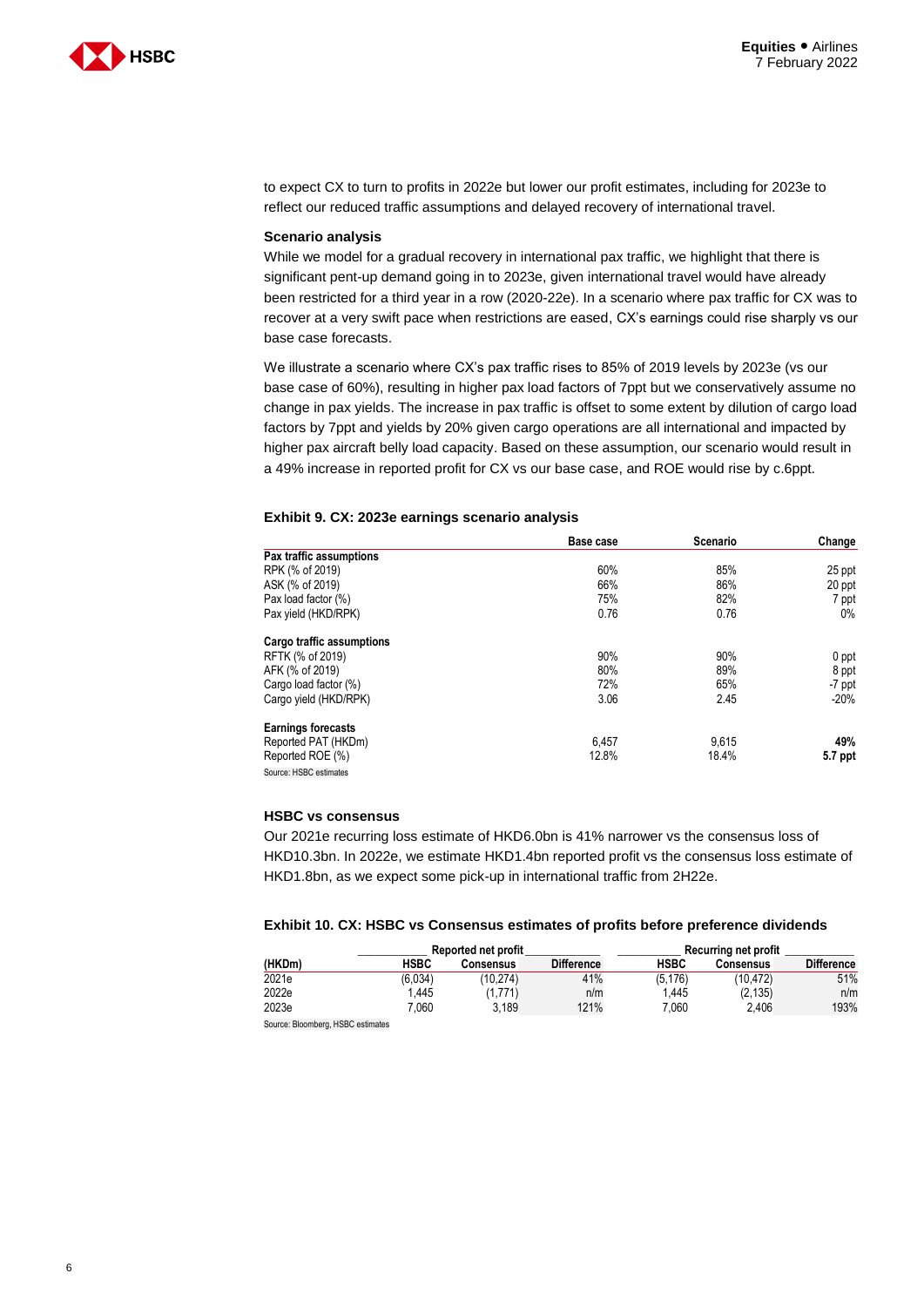

**Change** 

to expect CX to turn to profits in 2022e but lower our profit estimates, including for 2023e to reflect our reduced traffic assumptions and delayed recovery of international travel.

#### **Scenario analysis**

While we model for a gradual recovery in international pax traffic, we highlight that there is significant pent-up demand going in to 2023e, given international travel would have already been restricted for a third year in a row (2020-22e). In a scenario where pax traffic for CX was to recover at a very swift pace when restrictions are eased, CX's earnings could rise sharply vs our base case forecasts.

We illustrate a scenario where CX's pax traffic rises to 85% of 2019 levels by 2023e (vs our base case of 60%), resulting in higher pax load factors of 7ppt but we conservatively assume no change in pax yields. The increase in pax traffic is offset to some extent by dilution of cargo load factors by 7ppt and yields by 20% given cargo operations are all international and impacted by higher pax aircraft belly load capacity. Based on these assumption, our scenario would result in a 49% increase in reported profit for CX vs our base case, and ROE would rise by c.6ppt.

|                           | Base case | Scenario | Change |
|---------------------------|-----------|----------|--------|
| Pax traffic assumptions   |           |          |        |
| RPK (% of 2019)           | 60%       | 85%      | 25 ppf |
| ASK (% of 2019)           | 66%       | 86%      | 20 ppt |
| Pax load factor (%)       | 75%       | 82%      | 7 ppi  |
| Pax yield (HKD/RPK)       | 0.76      | 0.76     | 0%     |
| Cargo traffic assumptions |           |          |        |

Cargo yield (HKD/RPK) 3.06 2.45

#### **Exhibit 9. CX: 2023e earnings scenario analysis**

| <b>HSBC vs consensus</b>                                                                    |
|---------------------------------------------------------------------------------------------|
| Our 2021e recurring loss estimate of HKD6.0bn is 41% narrower vs the consensus loss of      |
| HKD10.3bn. In 2022e, we estimate HKD1.4bn reported profit vs the consensus loss estimate of |
| HKD1.8bn, as we expect some pick-up in international traffic from 2H22e.                    |

RFTK (% of 2019) 90% 90% 0 ppt AFK (% of 2019) 80% 89% 8 ppt Cargo load factor (%) 65% 65% -7 ppt<br>Cargo vield (HKD/RPK) -7 ppt -7 ppt -7 ppt -7 ppt -7 ppt -7 ppt -7 ppt -7 ppt -7 ppt -7 ppt -7 ppt -7 ppt -7 ppt -7 ppt -7 ppt -7 ppt -7 ppt -7 ppt -7 ppt -7 ppt -7 ppt -7 ppt -7 ppt -7

Reported PAT (HKDm) **49%**<br>Reported ROE (%) **49%** 9,615 9,615 9,615 9,615 9,615 9,615 9,615 9,615 9,615 9,615 9,615 9,615 9,615 9,615 9,615

#### **Exhibit 10. CX: HSBC vs Consensus estimates of profits before preference dividends**

|                                  |         | Reported net profit |                   | Recurring net profit |                  |                   |
|----------------------------------|---------|---------------------|-------------------|----------------------|------------------|-------------------|
| (HKDm)                           | HSBC    | <b>Consensus</b>    | <b>Difference</b> | <b>HSBC</b>          | <b>Consensus</b> | <b>Difference</b> |
| 2021e                            | (6.034) | (10.274)            | 41%               | (5, 176)             | (10.472)         | 51%               |
| 2022e                            | 1.445   | (1.771)             | n/m               | 1.445                | (2.135)          | n/m               |
| 2023e                            | 060.    | 3.189               | 121%              | 7.060                | 2.406            | 193%              |
| Source: Rioomherg HSRC estimates |         |                     |                   |                      |                  |                   |

hberg, HSBC esti

**Earnings forecasts**

Reported ROE (%) Source: HSBC estimates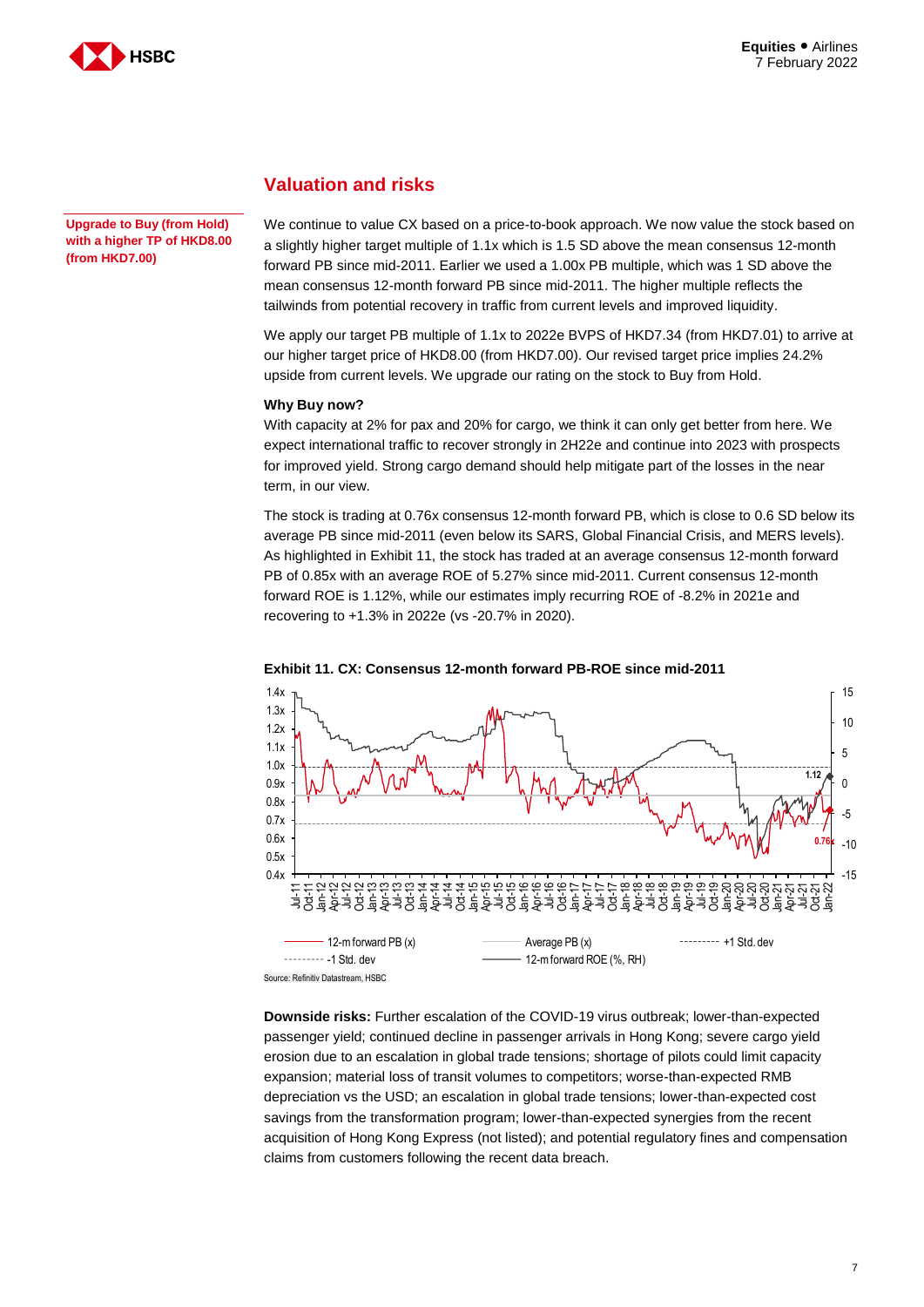

**Upgrade to Buy (from Hold) with a higher TP of HKD8.00 (from HKD7.00)**

### **Valuation and risks**

We continue to value CX based on a price-to-book approach. We now value the stock based on a slightly higher target multiple of 1.1x which is 1.5 SD above the mean consensus 12-month forward PB since mid-2011. Earlier we used a 1.00x PB multiple, which was 1 SD above the mean consensus 12-month forward PB since mid-2011. The higher multiple reflects the tailwinds from potential recovery in traffic from current levels and improved liquidity.

We apply our target PB multiple of 1.1x to 2022e BVPS of HKD7.34 (from HKD7.01) to arrive at our higher target price of HKD8.00 (from HKD7.00). Our revised target price implies 24.2% upside from current levels. We upgrade our rating on the stock to Buy from Hold.

#### **Why Buy now?**

With capacity at 2% for pax and 20% for cargo, we think it can only get better from here. We expect international traffic to recover strongly in 2H22e and continue into 2023 with prospects for improved yield. Strong cargo demand should help mitigate part of the losses in the near term, in our view.

The stock is trading at 0.76x consensus 12-month forward PB, which is close to 0.6 SD below its average PB since mid-2011 (even below its SARS, Global Financial Crisis, and MERS levels). As highlighted in Exhibit 11, the stock has traded at an average consensus 12-month forward PB of 0.85x with an average ROE of 5.27% since mid-2011. Current consensus 12-month forward ROE is 1.12%, while our estimates imply recurring ROE of -8.2% in 2021e and recovering to +1.3% in 2022e (vs -20.7% in 2020).



#### **Exhibit 11. CX: Consensus 12-month forward PB-ROE since mid-2011**

**Downside risks:** Further escalation of the COVID-19 virus outbreak; lower-than-expected passenger yield; continued decline in passenger arrivals in Hong Kong; severe cargo yield erosion due to an escalation in global trade tensions; shortage of pilots could limit capacity expansion; material loss of transit volumes to competitors; worse-than-expected RMB depreciation vs the USD; an escalation in global trade tensions; lower-than-expected cost savings from the transformation program; lower-than-expected synergies from the recent acquisition of Hong Kong Express (not listed); and potential regulatory fines and compensation claims from customers following the recent data breach.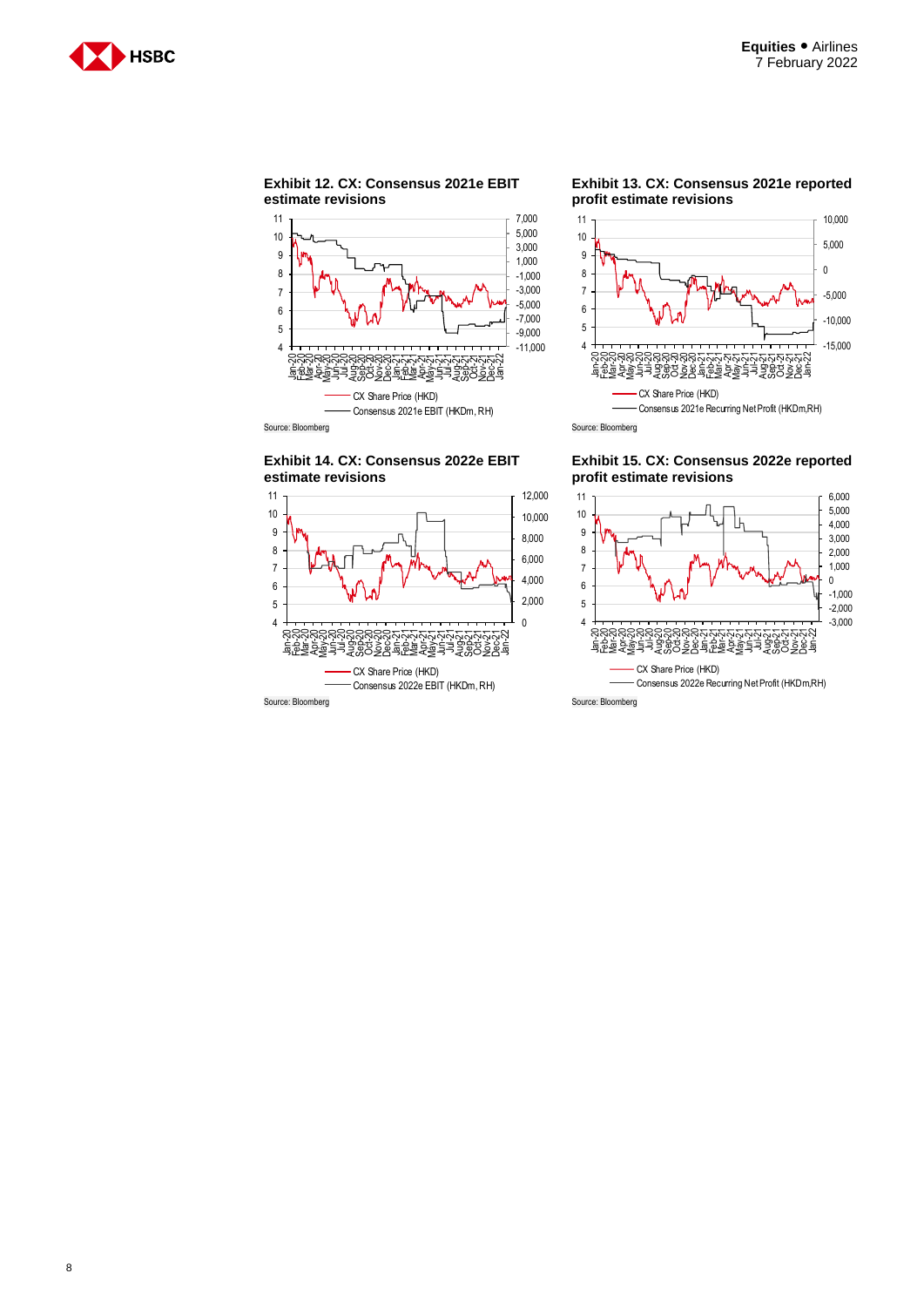





**Exhibit 13. CX: Consensus 2021e reported profit estimate revisions**



**Exhibit 14. CX: Consensus 2022e EBIT estimate revisions**





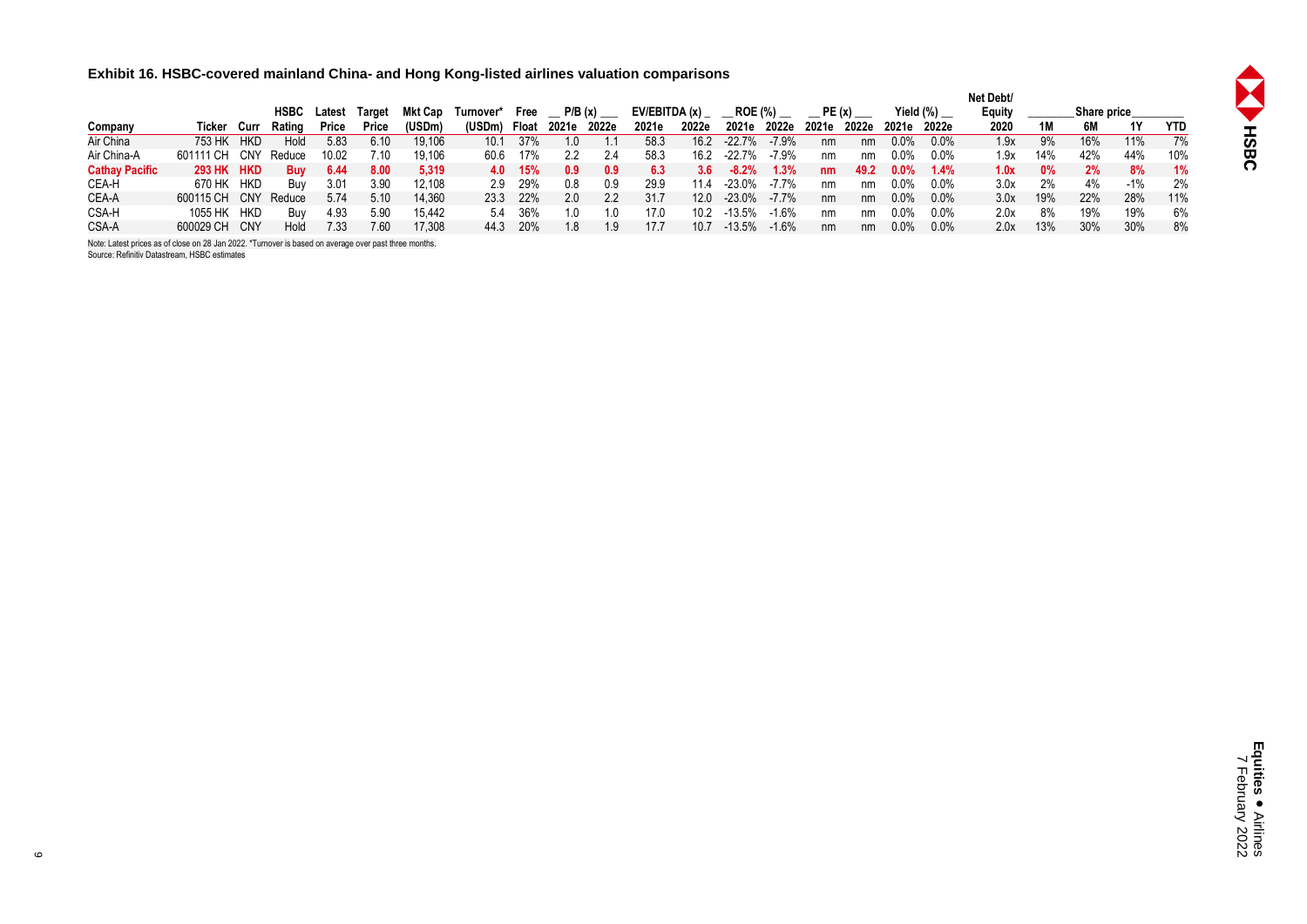**Exhibit 16. HSBC-covered mainland China- and Hong Kong-listed airlines valuation comparisons**

|                       |                   |            |        |        |        |         |           |         |       |       |               |       |                |         |       |       |           |         | Net Debt/ |           |                    |       |            |
|-----------------------|-------------------|------------|--------|--------|--------|---------|-----------|---------|-------|-------|---------------|-------|----------------|---------|-------|-------|-----------|---------|-----------|-----------|--------------------|-------|------------|
|                       |                   |            | HSBC   | Latest | Target | Mkt Cap | Turnover* | Free    |       |       | EV/EBITDA (x) |       | <b>ROE (%)</b> |         |       |       | Yield (%) |         | Equity    |           | <b>Share price</b> |       |            |
| Company               | Ticker Curr       |            | Rating | Price  | Price  | (USDm)  | (USDm)    | Float   | 2021e | 2022e | 2021e         | 2022e | 2021e          | 2022e   | 2021e | 2022e | 2021e     | 2022e   | 2020      | 1M        | 6M                 | 1Y    | <b>YTD</b> |
| Air China             | 753 HK            | <b>HKD</b> | Hold   | 5.83   | 6.10   | 19.106  | 10.1      | 37%     |       |       | 58.3          | 16.2  | $-22.7\%$      | $-7.9%$ | nm    | nm    | 0.0%      | $0.0\%$ | 1.9x      | 9%        | 16%                | 11%   | 7%         |
| Air China-A           | 601111 CH CNY     |            | Reduce | 10.02  | 7.10   | 19.106  | 60.6      | 17%     |       | 2.4   | 58.3          | 16.2  | $-22.7%$       | -7.9%   | nm    | nm    | 0.0%      | $0.0\%$ | 1.9x      | 14%       | 42%                | 44%   | 10%        |
| <b>Cathay Pacific</b> | <b>293 HK HKD</b> |            | Buv    | 6.44   | 8.00   | 5,319   |           | 4.0 15% |       | 0.9   | 6.3           | 3.6   | $-8.2%$        | 1.3%    | nm    | 49.2  | $0.0\%$   | 1.4%    | 1.0x      | <b>0%</b> | 2%                 | 8%    | 1%         |
| CEA-H                 | 670 HK HKD        |            | Buv    | 3.01   | 3.90   | 12.108  | 2.9       | 29%     | 0.8   | 0.9   | 29.9          | 11.4  | $-23.0\%$      | $-7.7%$ | nm    | nm    | 0.0%      | $0.0\%$ | 3.0x      | 2%        | 4%                 | $-1%$ | 2%         |
| CEA-A                 | 600115 CH CNY     |            | Reduce | 5.74   | 5.10   | 14.360  | 23.3      | -22%    | 2.0   | 22    | 31.7          | 12.0  | -23.0%         | $-7.7%$ | nm    | nm    | 0.0%      | $0.0\%$ | 3.0x      | 19%       | 22%                | 28%   | 11%        |
| CSA-H                 | 1055 HK           | HKD        | Buv    | 4.93   | 5.90   | 15.442  | 5.4       | 36%     |       | 1.0   | 17.0          | 10.2  | $-13.5%$       | $-1.6%$ | nm    | nm    | 0.0%      | $0.0\%$ | 2.0x      | 8%        | 19%                | 19%   | 6%         |
| CSA-A                 | 600029 CH CNY     |            | Hold   | 7.33   | 7.60   | 17,308  | 44.3      | 20%     |       | 1.9   | 17.7          | 10.7  | $-13.5%$       | $-1.6%$ | nm    | nm    | 0.0%      | $0.0\%$ | 2.0x      | 13%       | 30%                | 30%   | 8%         |

Note: Latest prices as of close on 28 Jan 2022. \*Turnover is based on average over past three months. Source: Refinitiv Datastream, HSBC estimates

**SERIES** 

 $\circ$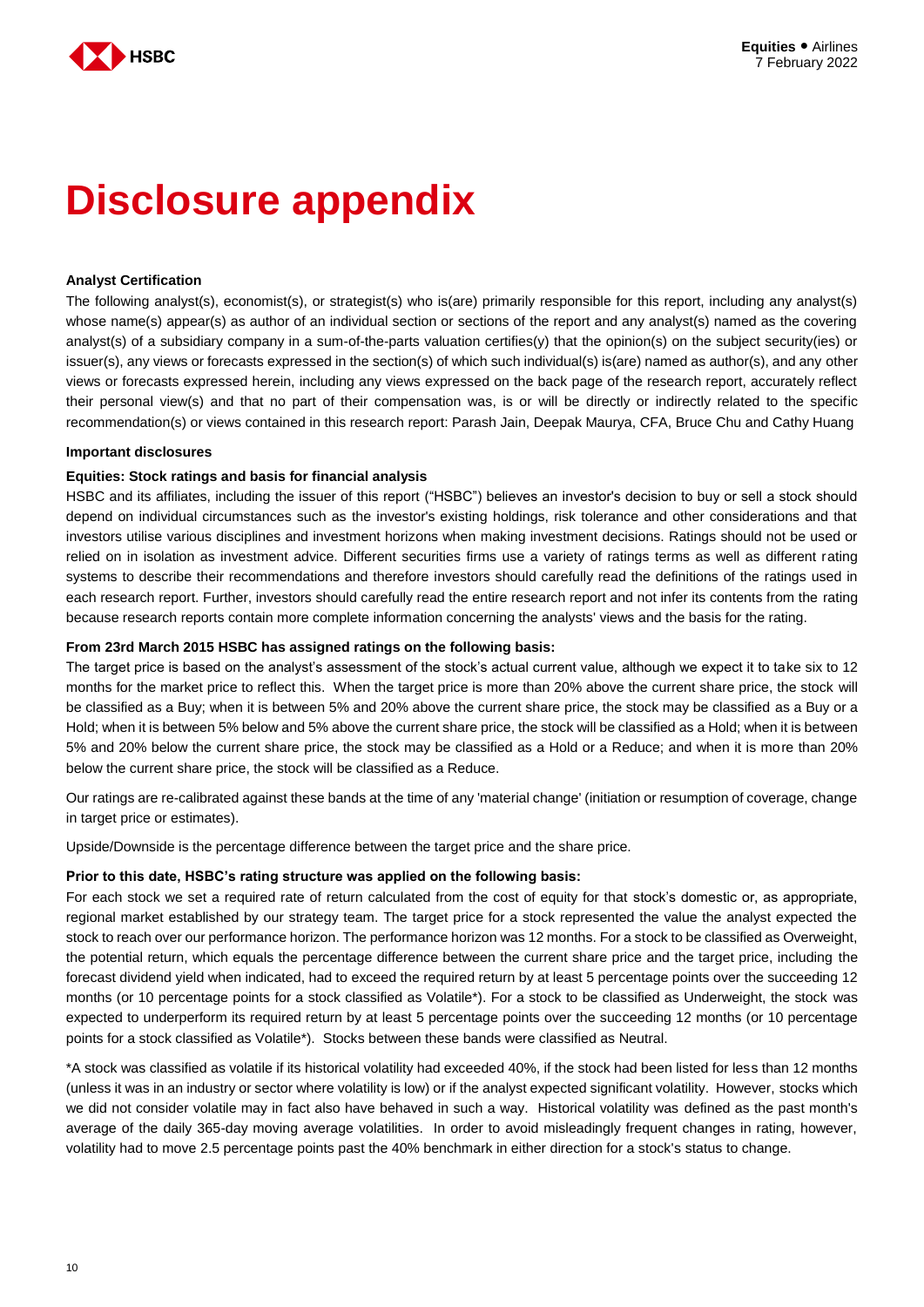

# **Disclosure appendix**

#### **Analyst Certification**

The following analyst(s), economist(s), or strategist(s) who is(are) primarily responsible for this report, including any analyst(s) whose name(s) appear(s) as author of an individual section or sections of the report and any analyst(s) named as the covering analyst(s) of a subsidiary company in a sum-of-the-parts valuation certifies(y) that the opinion(s) on the subject security(ies) or issuer(s), any views or forecasts expressed in the section(s) of which such individual(s) is(are) named as author(s), and any other views or forecasts expressed herein, including any views expressed on the back page of the research report, accurately reflect their personal view(s) and that no part of their compensation was, is or will be directly or indirectly related to the specific recommendation(s) or views contained in this research report: Parash Jain, Deepak Maurya, CFA, Bruce Chu and Cathy Huang

#### **Important disclosures**

#### **Equities: Stock ratings and basis for financial analysis**

HSBC and its affiliates, including the issuer of this report ("HSBC") believes an investor's decision to buy or sell a stock should depend on individual circumstances such as the investor's existing holdings, risk tolerance and other considerations and that investors utilise various disciplines and investment horizons when making investment decisions. Ratings should not be used or relied on in isolation as investment advice. Different securities firms use a variety of ratings terms as well as different rating systems to describe their recommendations and therefore investors should carefully read the definitions of the ratings used in each research report. Further, investors should carefully read the entire research report and not infer its contents from the rating because research reports contain more complete information concerning the analysts' views and the basis for the rating.

#### **From 23rd March 2015 HSBC has assigned ratings on the following basis:**

The target price is based on the analyst's assessment of the stock's actual current value, although we expect it to take six to 12 months for the market price to reflect this. When the target price is more than 20% above the current share price, the stock will be classified as a Buy; when it is between 5% and 20% above the current share price, the stock may be classified as a Buy or a Hold; when it is between 5% below and 5% above the current share price, the stock will be classified as a Hold; when it is between 5% and 20% below the current share price, the stock may be classified as a Hold or a Reduce; and when it is more than 20% below the current share price, the stock will be classified as a Reduce.

Our ratings are re-calibrated against these bands at the time of any 'material change' (initiation or resumption of coverage, change in target price or estimates).

Upside/Downside is the percentage difference between the target price and the share price.

#### **Prior to this date, HSBC's rating structure was applied on the following basis:**

For each stock we set a required rate of return calculated from the cost of equity for that stock's domestic or, as appropriate, regional market established by our strategy team. The target price for a stock represented the value the analyst expected the stock to reach over our performance horizon. The performance horizon was 12 months. For a stock to be classified as Overweight, the potential return, which equals the percentage difference between the current share price and the target price, including the forecast dividend yield when indicated, had to exceed the required return by at least 5 percentage points over the succeeding 12 months (or 10 percentage points for a stock classified as Volatile\*). For a stock to be classified as Underweight, the stock was expected to underperform its required return by at least 5 percentage points over the succeeding 12 months (or 10 percentage points for a stock classified as Volatile\*). Stocks between these bands were classified as Neutral.

\*A stock was classified as volatile if its historical volatility had exceeded 40%, if the stock had been listed for less than 12 months (unless it was in an industry or sector where volatility is low) or if the analyst expected significant volatility. However, stocks which we did not consider volatile may in fact also have behaved in such a way. Historical volatility was defined as the past month's average of the daily 365-day moving average volatilities. In order to avoid misleadingly frequent changes in rating, however, volatility had to move 2.5 percentage points past the 40% benchmark in either direction for a stock's status to change.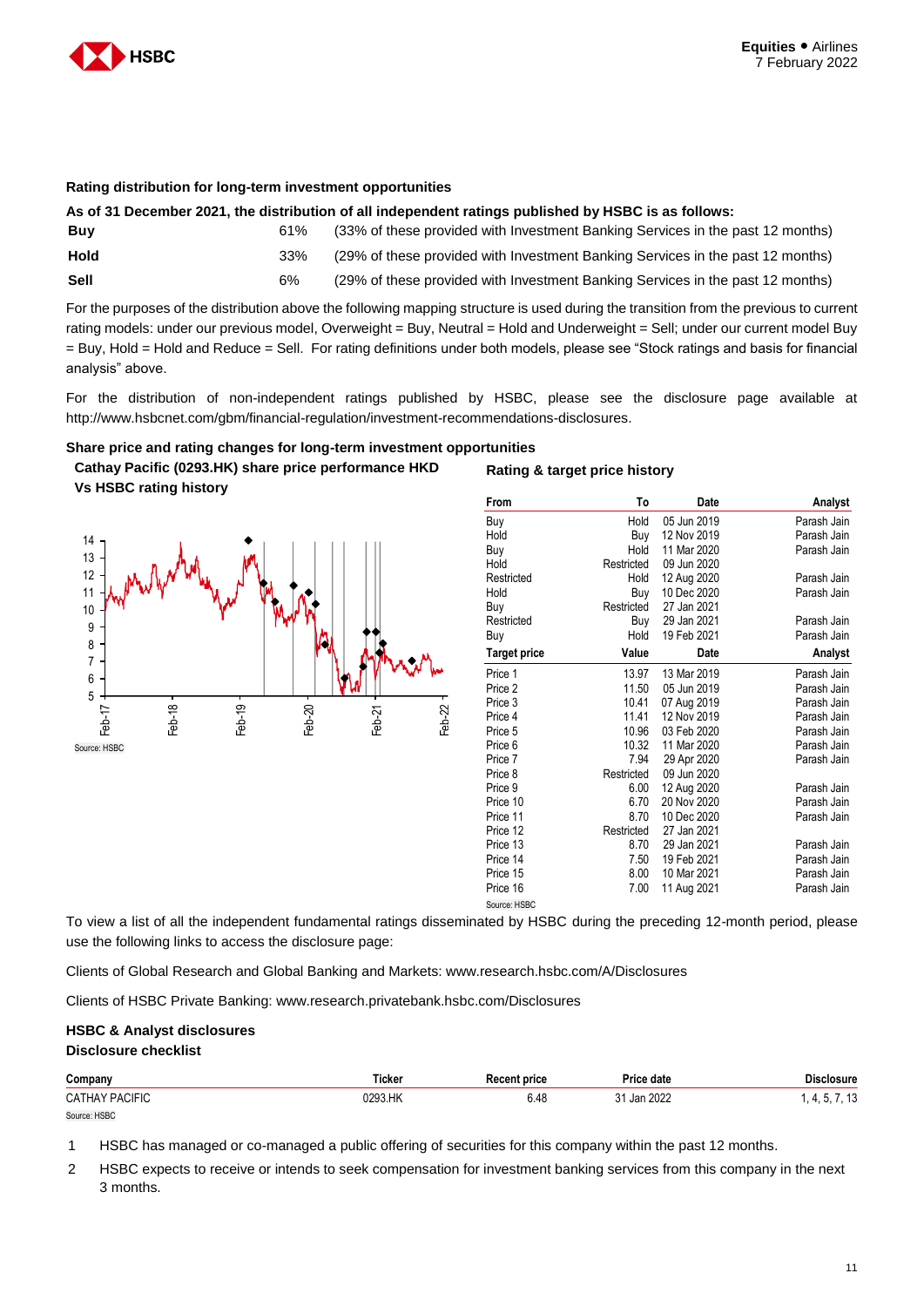

#### **Rating distribution for long-term investment opportunities**

|      |     | As of 31 December 2021, the distribution of all independent ratings published by HSBC is as follows: |
|------|-----|------------------------------------------------------------------------------------------------------|
| Buy  | 61% | (33% of these provided with Investment Banking Services in the past 12 months)                       |
| Hold | 33% | (29% of these provided with Investment Banking Services in the past 12 months)                       |
| Sell | 6%  | (29% of these provided with Investment Banking Services in the past 12 months)                       |

For the purposes of the distribution above the following mapping structure is used during the transition from the previous to current rating models: under our previous model, Overweight = Buy, Neutral = Hold and Underweight = Sell; under our current model Buy = Buy, Hold = Hold and Reduce = Sell. For rating definitions under both models, please see "Stock ratings and basis for financial analysis" above.

For the distribution of non-independent ratings published by HSBC, please see the disclosure page available at http://www.hsbcnet.com/gbm/financial-regulation/investment-recommendations-disclosures.

**Rating & target price history**

#### **Share price and rating changes for long-term investment opportunities**

**Cathay Pacific (0293.HK) share price performance HKD Vs HSBC rating history**



| From         | To         | Date        | Analyst     |
|--------------|------------|-------------|-------------|
| Buy          | Hold       | 05 Jun 2019 | Parash Jain |
| Hold         | Buy        | 12 Nov 2019 | Parash Jain |
| Buy          | Hold       | 11 Mar 2020 | Parash Jain |
| Hold         | Restricted | 09 Jun 2020 |             |
| Restricted   | Hold       | 12 Aug 2020 | Parash Jain |
| Hold         | Buy        | 10 Dec 2020 | Parash Jain |
| Buy          | Restricted | 27 Jan 2021 |             |
| Restricted   | Buy        | 29 Jan 2021 | Parash Jain |
| Buy          | Hold       | 19 Feb 2021 | Parash Jain |
| Target price | Value      | Date        | Analyst     |
| Price 1      | 13.97      | 13 Mar 2019 | Parash Jain |
| Price 2      | 11.50      | 05 Jun 2019 | Parash Jain |
| Price 3      | 10.41      | 07 Aug 2019 | Parash Jain |
| Price 4      | 11.41      | 12 Nov 2019 | Parash Jain |
| Price 5      | 10.96      | 03 Feb 2020 | Parash Jain |
| Price 6      | 10.32      | 11 Mar 2020 | Parash Jain |
| Price 7      | 7.94       | 29 Apr 2020 | Parash Jain |
| Price 8      | Restricted | 09 Jun 2020 |             |
| Price 9      | 6.00       | 12 Aug 2020 | Parash Jain |
| Price 10     | 6.70       | 20 Nov 2020 | Parash Jain |
| Price 11     | 8.70       | 10 Dec 2020 | Parash Jain |
| Price 12     | Restricted | 27 Jan 2021 |             |
| Price 13     | 8.70       | 29 Jan 2021 | Parash Jain |
| Price 14     | 7.50       | 19 Feb 2021 | Parash Jain |
| Price 15     | 8.00       | 10 Mar 2021 | Parash Jain |
| Price 16     | 7.00       | 11 Aug 2021 | Parash Jain |
| Source: HSBC |            |             |             |

To view a list of all the independent fundamental ratings disseminated by HSBC during the preceding 12-month period, please use the following links to access the disclosure page:

Clients of Global Research and Global Banking and Markets: www.research.hsbc.com/A/Disclosures

Clients of HSBC Private Banking: www.research.privatebank.hsbc.com/Disclosures

#### **HSBC & Analyst disclosures Disclosure checklist**

| Company               | Ticker  | Recent price | Price date  | <b>Disclosure</b> |
|-----------------------|---------|--------------|-------------|-------------------|
| <b>CATHAY PACIFIC</b> | 0293.HK | 6.48         | 31 Jan 2022 | $+$ , 5, 7, 13    |
| Source: HSBC          |         |              |             |                   |

1 HSBC has managed or co-managed a public offering of securities for this company within the past 12 months.

2 HSBC expects to receive or intends to seek compensation for investment banking services from this company in the next 3 months.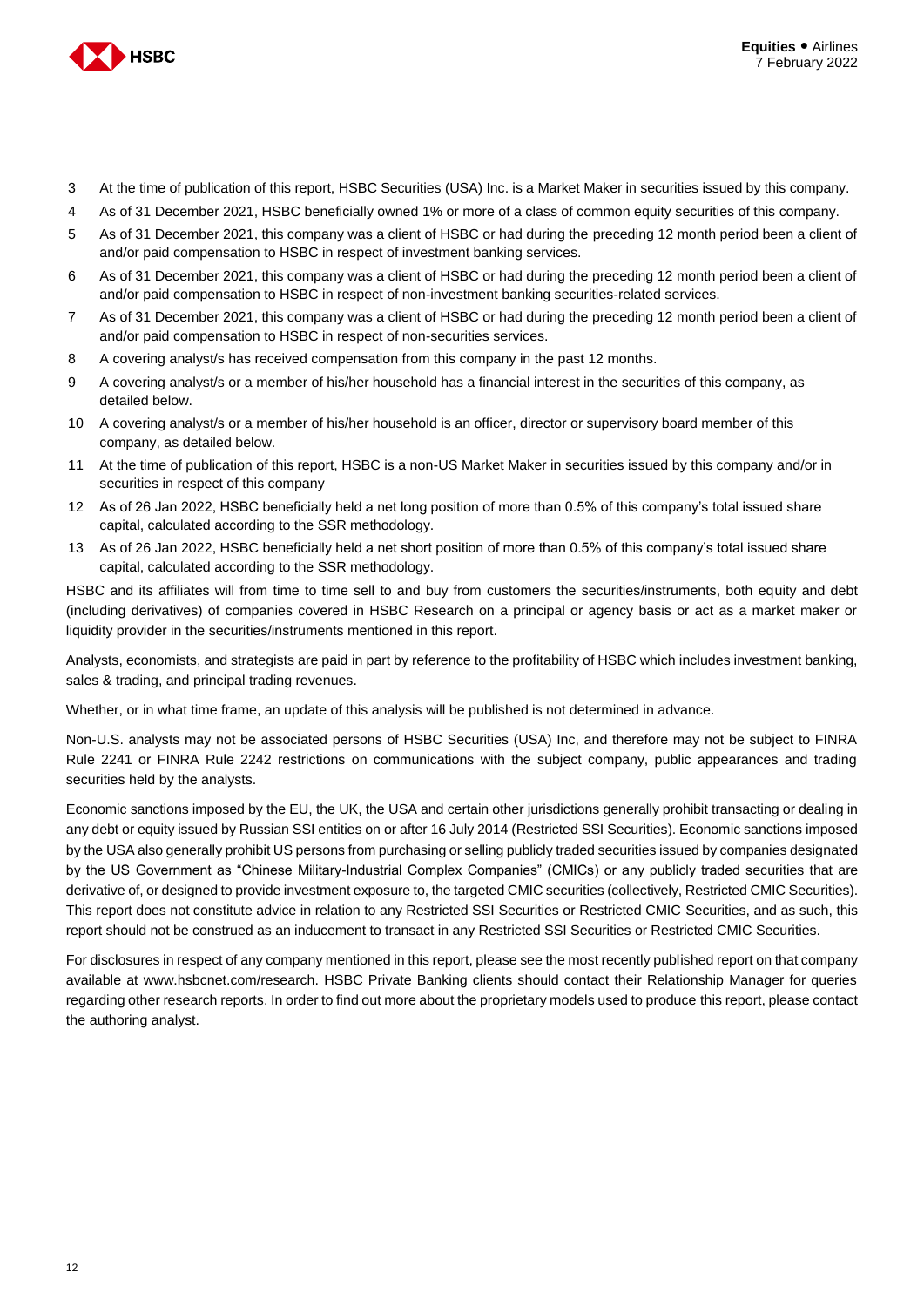

- 3 At the time of publication of this report, HSBC Securities (USA) Inc. is a Market Maker in securities issued by this company.
- 4 As of 31 December 2021, HSBC beneficially owned 1% or more of a class of common equity securities of this company.
- 5 As of 31 December 2021, this company was a client of HSBC or had during the preceding 12 month period been a client of and/or paid compensation to HSBC in respect of investment banking services.
- 6 As of 31 December 2021, this company was a client of HSBC or had during the preceding 12 month period been a client of and/or paid compensation to HSBC in respect of non-investment banking securities-related services.
- 7 As of 31 December 2021, this company was a client of HSBC or had during the preceding 12 month period been a client of and/or paid compensation to HSBC in respect of non-securities services.
- 8 A covering analyst/s has received compensation from this company in the past 12 months.
- 9 A covering analyst/s or a member of his/her household has a financial interest in the securities of this company, as detailed below.
- 10 A covering analyst/s or a member of his/her household is an officer, director or supervisory board member of this company, as detailed below.
- 11 At the time of publication of this report, HSBC is a non-US Market Maker in securities issued by this company and/or in securities in respect of this company
- 12 As of 26 Jan 2022, HSBC beneficially held a net long position of more than 0.5% of this company's total issued share capital, calculated according to the SSR methodology.
- 13 As of 26 Jan 2022, HSBC beneficially held a net short position of more than 0.5% of this company's total issued share capital, calculated according to the SSR methodology.

HSBC and its affiliates will from time to time sell to and buy from customers the securities/instruments, both equity and debt (including derivatives) of companies covered in HSBC Research on a principal or agency basis or act as a market maker or liquidity provider in the securities/instruments mentioned in this report.

Analysts, economists, and strategists are paid in part by reference to the profitability of HSBC which includes investment banking, sales & trading, and principal trading revenues.

Whether, or in what time frame, an update of this analysis will be published is not determined in advance.

Non-U.S. analysts may not be associated persons of HSBC Securities (USA) Inc, and therefore may not be subject to FINRA Rule 2241 or FINRA Rule 2242 restrictions on communications with the subject company, public appearances and trading securities held by the analysts.

Economic sanctions imposed by the EU, the UK, the USA and certain other jurisdictions generally prohibit transacting or dealing in any debt or equity issued by Russian SSI entities on or after 16 July 2014 (Restricted SSI Securities). Economic sanctions imposed by the USA also generally prohibit US persons from purchasing or selling publicly traded securities issued by companies designated by the US Government as "Chinese Military-Industrial Complex Companies" (CMICs) or any publicly traded securities that are derivative of, or designed to provide investment exposure to, the targeted CMIC securities (collectively, Restricted CMIC Securities). This report does not constitute advice in relation to any Restricted SSI Securities or Restricted CMIC Securities, and as such, this report should not be construed as an inducement to transact in any Restricted SSI Securities or Restricted CMIC Securities.

For disclosures in respect of any company mentioned in this report, please see the most recently published report on that company available at www.hsbcnet.com/research. HSBC Private Banking clients should contact their Relationship Manager for queries regarding other research reports. In order to find out more about the proprietary models used to produce this report, please contact the authoring analyst.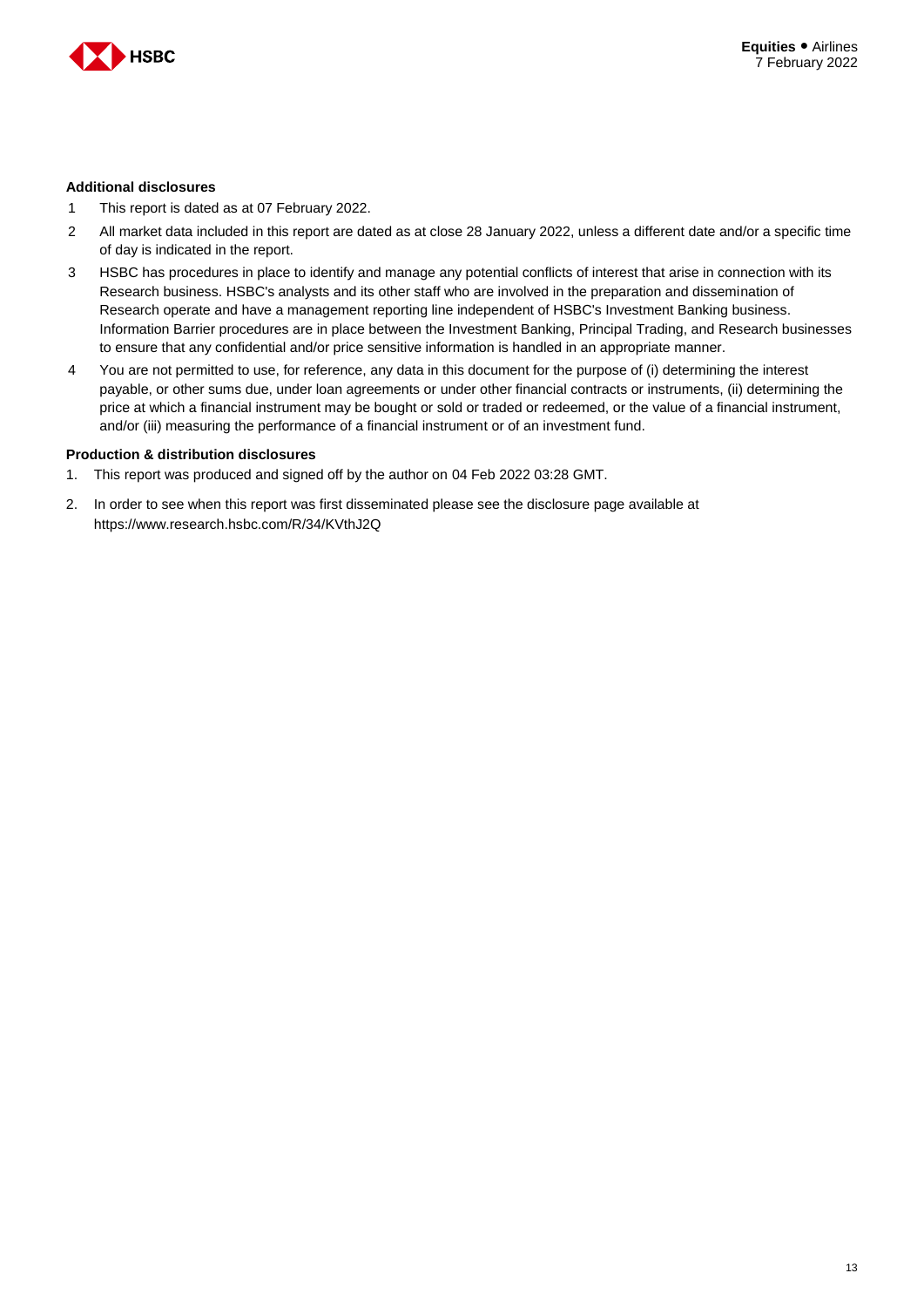

#### **Additional disclosures**

- 1 This report is dated as at 07 February 2022.
- 2 All market data included in this report are dated as at close 28 January 2022, unless a different date and/or a specific time of day is indicated in the report.
- 3 HSBC has procedures in place to identify and manage any potential conflicts of interest that arise in connection with its Research business. HSBC's analysts and its other staff who are involved in the preparation and dissemination of Research operate and have a management reporting line independent of HSBC's Investment Banking business. Information Barrier procedures are in place between the Investment Banking, Principal Trading, and Research businesses to ensure that any confidential and/or price sensitive information is handled in an appropriate manner.
- 4 You are not permitted to use, for reference, any data in this document for the purpose of (i) determining the interest payable, or other sums due, under loan agreements or under other financial contracts or instruments, (ii) determining the price at which a financial instrument may be bought or sold or traded or redeemed, or the value of a financial instrument, and/or (iii) measuring the performance of a financial instrument or of an investment fund.

#### **Production & distribution disclosures**

- 1. This report was produced and signed off by the author on 04 Feb 2022 03:28 GMT.
- 2. In order to see when this report was first disseminated please see the disclosure page available at https://www.research.hsbc.com/R/34/KVthJ2Q